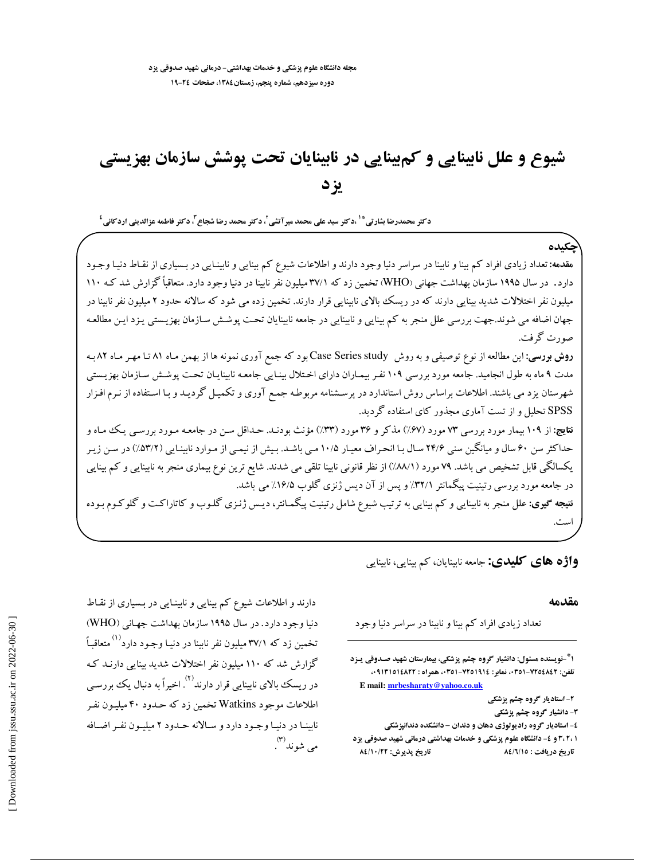# شیوع و علل نابینایی و کمبینایی در نابینایان تحت پوشش سازمان بهزیستی يزد

د *ک*تر محمدرضا بشارتی <sup>\* ۱</sup> ،د *ک*تر سید علی محمد میرآتشی <sup>۲</sup> د *کت*ر محمد رضا شجاع <sup>۲</sup>، د *کت*ر فاطمه عزالدینی ارد *ک*انی <sup>٤</sup>

هقدهه: تعداد زیادی افراد کم بینا و نابینا در سراسر دنیا وجود دارند و اطلاعات شیوع کم بینایی و نابینـایی در بـسیاری از نقـاط دنیـا وجـود دارد. در سال ۱۹۹۵ سازمان بهداشت جهانی (WHO) تخمین زد که ۳۷/۱ میلیون نفر نابینا در دنیا وجود دارد. متعاقباً گزارش شد ک میلیون نفر اختلالات شدید بینایی دارند که در ریسک بالای نابینایی قرار دارند. تخمین زده می شود که سالانه حدود ۲ میلیون نفر نابینا در جهان اضافه می شوند.جهت بررسی علل منجر به کم بینایی و نابینایی در جامعه نابینایان تحت پوشش سـازمان بهزیـستی یـزد ایـن مطالعـه صورت گرفت.

**روش بورسی:** این مطالعه از نوع توصیفی و به روش Case Series study بود که جمع آوری نمونه ها از بهمن مـاه ۸۱ تـا مهـر مـاه ۸۲بـه مدت ۹ ماه به طول انجامید. جامعه مورد بررسی ۱۰۹ نفـر بیمـاران دارای اخـتلال بینـایی جامعـه نابینایـان تحـت پوشـش سـازمان بهزیـستی شهرستان یزد می باشند. اطلاعات براساس روش استاندارد در پرسشنامه مربوطه جمع آوری و تکمیـل گردیـد و بـا اسـتفاده از نـرم افـزار SPSS تحلیل و از تست آماری مجذور کای استفاده گردید.

نقایچ: از ۱۰۹ بیمار مورد بررسی ۷۳ مورد (۶۷٪) مذکر و ۳۶مورد (۳۳٪) مؤنث بودنـد. حـداقل سـن در جامعـه مـورد بررسـی یـک مـاه و حداکثر سن ۶۰ سال و میانگین سنی ۲۴/۶ سـال بـا انحـراف معیـار ۱۰/۵ مـی باشـد. بـیش از نیمـی از مـوارد نابینـایی (۵۳/۲) در سـن زیـر یکسالگی قابل تشخیص می باشد. ۷۹ مورد (۸۸/۱٪) از نظر قانونی نابینا تلقی می شدند. شایع ترین نوع بیماری منجر به نابینایی و کم بینایی در جامعه مورد بررسی رتینیت پیگمانتر ۳۲/۱٪ و پس از آن دیس ژنزی گلوب ۱۶/۵٪ می باشد. **نتیجه گیری:** علل منجر به نابینایی و کم بینایی به ترتیب شیوع شامل رتینیت پیگمـانتر، دیـس ژنـزی گلـوب و کاتاراکـت و گلوکـوم بـوده است.

**واژه های کلیدی:** جامعه نابینایان، کم بینایی، نابینایی

#### مقدمه

ىكىدە

تعداد زیادی افراد کم بینا و نابینا در سراسر دنیا وجود

۱ ٌ-نویسنده مسئول: دانشیار گروه چشم پزشکی، بیمارستان شهید صـدوقی یـزد تلفن: ٧٢٥٤٨٤٢-٥١٩١١، نماير: ٧٢٥١٩١٤-٥٦١) . همراه : ٩١٣١٥١٤٨٢٢ . E mail: mrbesharaty@yahoo.co.uk

۲- استادیار گروه چشم پزشکی

۳- دانشیار گروه چشم پزشکی

٤- استاديار گروه راديولوژي دهان و دندان - دانشكده دندانيزشكي ۱ ،۲،۲ و ٤- دانشگاه علوم پزشکی و خدمات بهداشتی درمانی شهید صدوقی یزد تاريخ پذيرش: ٨٤/١٠/٢٢ تاريخ دريافت : ٨٤/٦/١٥

دارند و اطلاعات شیوع کم بینایی و نابینـایی در بـسیاری از نقـاط دنیا وجود دارد. در سال ۱۹۹۵ سازمان بهداشت جهانی (WHO) تخمین زد که ۳۷/۱میلیون نفر نابینا در دنیـا وجـود دارد<sup>(۱)</sup>متعاقبـاً گزارش شد که ۱۱۰ میلیون نفر اختلالات شدید بینایی دارنید ک در ریسک بالای نابینایی قرار دارند<sup>٬۲</sup> اخیراً به دنبال یک بررسی اطلاعات موجود Watkins تخمین زد که حـدود ۴۰ میلیـون نفـر نابينيا در دنيبا وجبود دارد و سيالانه حيدود ٢ ميليون نفير اضيافه می شوند (۳)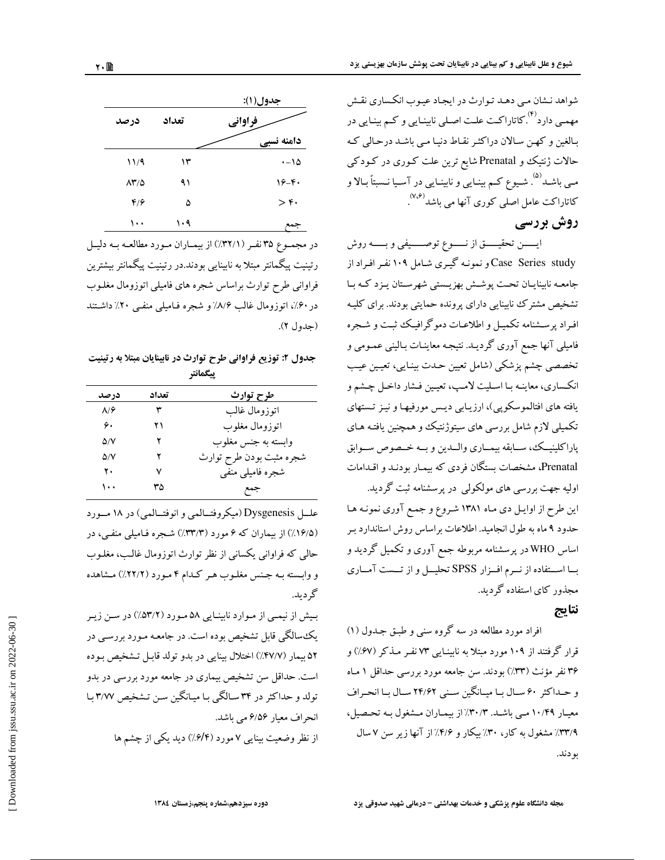شواهد نشان مبی دهـد تـوارث در ایجـاد عیـوب انکـساری نقـش مهمـی دارد<sup>(۴)</sup> کاتاراکـت علـت اصـلی نابینـایی و کـم بینـایی در بـالغین و کهـن سـالان دراکثـر نقـاط دنیـا مـى باشـد درحـالى کـه حالات ژنتیک و Prenatal شایع ترین علت کـوری در کـودکـی مـی باشــد<sup>(۵)</sup> . شــیوع کــم بینــایی و نابینــایی در آســیا نــسبتاً بــالا و کاتاراکت عامل اصلی کوری آنها می باشد<sup>(۷،۶)</sup>.

## روش بررسی

ايسىن تحقيسة از نسوع توصسيفى وبسمه روش Case Series study و نمونـه گیـری شـامل ۱۰۹ نفـر افـراد از جامعـه نابینایـان تحـت پوشـش بهزیـستی شهرسـتان یـزد کـه بـا تشخیص مشترک نابینایی دارای پرونده حمایتی بودند. برای کلیـه افراد پرسشنامه تکمیـل و اطلاعـات دموگرافیـک ثبـت و شـجره فامیلی آنها جمع آوری گردیـد. نتیجـه معاینـات بـالینی عمـومی و تخصصي چشم پزشكي (شامل تعيين حـدت بينـايي، تعيـين عيـب انکساري، معاينـه بـا اسـليت لامـپ، تعيـين فـشار داخـل چـشم و یافته های افتالموسکوپی)، ارزیـابی دیـس مورفیهـا و نیـز تـستهای تکمیلی لازم شامل بررسی های سیتوژنتیک و همچنین یافتـه هـای پاراكلينيىك، ســابقه بيمــارى والــدين و بــه خــصوص ســوابق Prenatal، مشخصات بستگان فردی که بیمـار بودنـد و اقـدامات اولیه جهت بررسی های مولکولی در پرسشنامه ثبت گردید. این طرح از اوایل دی ماه ۱۳۸۱ شروع و جمع آوری نمونه ها حدود ۹ ماه به طول انجامید. اطلاعات براساس روش استاندارد بـر اساس WHO در پرسشنامه مربوطه جمع آوری و تکمیل گردید و بسا استفاده از نسرم افسزار SPSS تحليسل و از تسست آمساري مجذور کای استفاده گردید.

## نتايج

افراد مورد مطالعه در سه گروه سنی و طبق جـدول (۱) قرار گرفتند از ۱۰۹ مورد مبتلا به نابینـایی ۷۳ نفـر مـذکر (۶۷٪) و ۳۶ نفر مؤنث (۳۳٪) بودند. سن جامعه مورد بررسی حداقل ۱ مـاه و حـداكثر ۶۰ سـال بـا ميـانگين سـني ۲۴/۶۲ سـال بـا انحـراف معیار ۱۰/۴۹ مـی باشـد. ۳۰/۳٪ از بیمـاران مـشغول بـه تحـصیل، ۳۳/۹٪ مشغول به کار، ۳۰٪ بیکار و ۴/۶٪ از آنها زیر سن ۷ سال بو دند.

|                             |       | جدول(۱):             |
|-----------------------------|-------|----------------------|
| درصد                        | تعداد | فراواني              |
|                             |       | دامنه نسبي           |
| 11/9                        | ۱۳    | $\cdot - 10$         |
| $\Lambda^*/\Delta$          | ۹۱    | $19 - 6$             |
| $\mathfrak{r}/\mathfrak{r}$ | ۵     | $>\mathfrak{r}\cdot$ |
| ۱۰۰                         | ۱۰۹   | $\rightarrow$        |

در مجموع ٣٥ نفر (٣٢/١٪) از بيماران مورد مطالعه به دليل رتینیت پیگمانتر مبتلا به نابینایی بودند.در رتینیت پیگمانتر بیشترین فراوانی طرح توارث براساس شجره های فامیلی اتوزومال مغلـوب در ۶۰٪، اتوزومال غالب ۸/۶٪ و شجره فیامیلی منفی ۲۰٪ داشتند (جدول ۲).

جدول ۲: توزیع فراوانی طرح توارث در نابینایان مبتلا به رتینیت ييگمانتر

| درصد         | تعداد | طرح توارث                |
|--------------|-------|--------------------------|
| $\lambda$ /۶ | ٣     | اتوزومال غالب            |
| ۶.           | ۲۱    | اتوزومال مغلوب           |
| ۵/۷          | ۲     | وابسته به جنس مغلوب      |
| ۵/۷          | ۲     | شجره مثبت بودن طرح توارث |
| ٢٠           | ٧     | شجره فاميلي منفي         |
| ۱۰۰          | ٣۵    | جمع                      |

عليل Dysgenesis (ميكروفتــالمبي و انوفتــالمبي) در ١٨ مــورد (۱۶/۵٪) از بیماران که ۶ مورد (۳۳/۳٪) شـجره فـامیلی منفـی، در حالي كه فراواني يكساني از نظر توارث اتوزومال غالب، مغلـوب و وابسته بـه جـنس مغلـوب هـر كـدام ۴ مـورد (٢٢/٢٪) مـشاهده گړ د پد.

بیش از نیمبی از موارد نابینایی ۵۸ مورد (۵۳/۲٪) در سن زیر یک سالگی قابل تشخیص بوده است. در جامعـه مـورد بررسـی در ۵۲ بيمار (۴۷/۷٪) اختلال بينايي در بدو تولد قابـل تـشخيص بـوده است. حداقل سن تشخیص بیماری در جامعه مورد بررسی در بدو تولد و حداکثر در ۳۴ سالگی با میانگین سن تشخیص ۳/۷۷ با انحراف معيار ۶/۵۶ مي باشد.

از نظر وضعیت بینایی ۷ مورد (۶/۴٪) دید یکی از چشم ها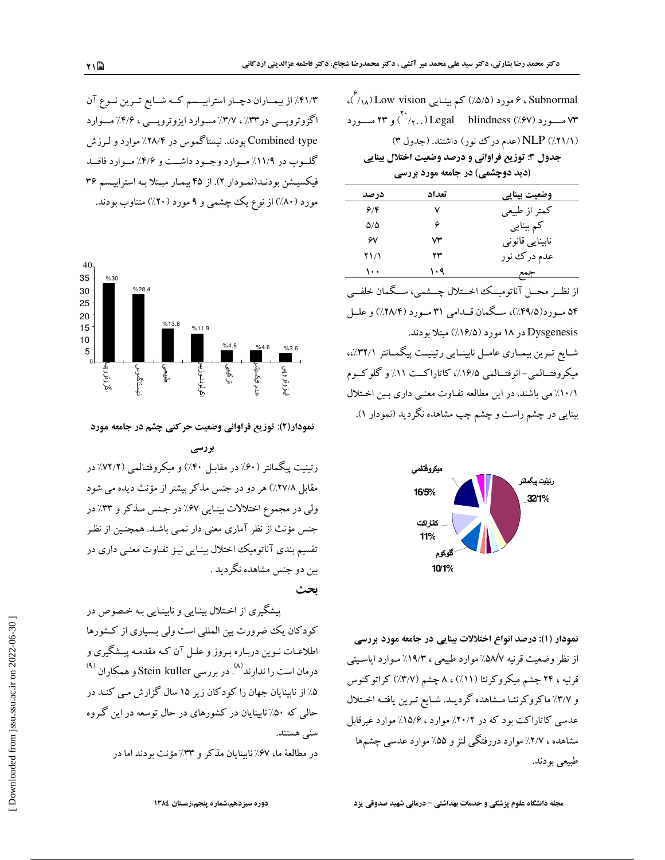| Subnormal ، ۶ مورد (۵/۵٪) کم بینـایی Low vision (۱٫۸٪).    |  |  |  |  |  |  |
|------------------------------------------------------------|--|--|--|--|--|--|
| ۷۳ مـــورد (۰٫۷٪) Legal     blindness (۰٫۶۷٪) و ۲۳ مـــورد |  |  |  |  |  |  |
| (۲۱/۱٪) NLP (عدم درک نور) داشتند. (جدول ۳)                 |  |  |  |  |  |  |
| جدول ٣: توزيع فراواني و درصد وضعيت اختلال بينايي           |  |  |  |  |  |  |
| (دید دوچشمی) در جامعه مورد بررسی                           |  |  |  |  |  |  |

| در صد | تعداد | وضعيت بينايي                                              |
|-------|-------|-----------------------------------------------------------|
| 9/8   | ٧     | كمتر از طبيعي                                             |
| ۵۵    |       | کم بینایی                                                 |
| ۶٧    | ۷۳    | نابینایی قانونی                                           |
| ۲۱/۱  | ۲۳    | عدم درک نور                                               |
| ۱۰۰   | ۱۰۹   | جمع                                                       |
|       |       | از نظــر محــل آناتوميــك اخــتلال چــشمى، ســگمان خلفــى |

۵۴ مــورد(۴۹/۵٪)، ســگمان قــدامی ۳۱ مــورد (۲۸/۴٪) و علــل Dysgenesis در ۱۸ مورد (۱۶/۵٪) مبتلا بودند. شـایع تـرین بیمـاری عامـل نابینـایی رتینیـت پیگمـانتر (/۳۲/،، میکروفتــالمی-انوفتــالمی ۱۶/۵٪، کاتاراکــت ۱۱٪ و گلوکــوم

٠/١٠/١/می باشند. در این مطالعه تفـاوت معنـی داری بـین اخـتلال بینایی در چشم راست و چشم چپ مشاهده نگردید (نمودار ۱).



نمودار (۱): درصد انواع اختلالات بینایی در جامعه مورد بررسی از نظر وضعیت قرنیه ۵۸/۷٪ موارد طبیعی ، ۱۹/۳٪ مـوارد اپاسـیتی قرنیه ، ۲۴ چشم میکروکرنئا (۱۱٪) ، ۸ چشم (۳/۷٪) کراتوکنوس و ٣/٧٪ ماكروكرنشا مـشاهده گرديـد. شـايع تـرين يافتـه اخـتلال عدسی کاتاراکت بود که در ۲۰/۲٪ موارد ، ۱۵/۶٪ موارد غیرقابل مشاهده ، ۲/۷٪ موارد دررفتگی لنز و ۵۵٪ موارد عدسی چشمها طبيعي بودند.

مجله دانشگاه علوم پزشکی و خدمات بهداشتی - درمانی شهید صدوقی یزد

۴۱/۳٪ از بیمـاران دچـار استرابیـسم کـه شـایع تـرین نـوع آن اگزوتروپسی در ۳۳٪، ۳/۷٪ مسوارد ایزوتروپسی ، ۴/۶٪ مسوارد Combined type بودند. نیستاگموس در ۲۸/۴٪ موارد و لـرزش گلوب در ۱۱/۹٪ موارد وجود داشت و ۴/۶٪ موارد فاقلد فیکسیـشن بودنـد(نمـودار ۲). از ۴۵ بیمـار مبـتلا بـه استرابیـسم ۳۶ مورد (۸۰٪) از نوع یک چشمی و ۹ مورد (۲۰٪) متناوب بودند.



نمودار(۲): توزیع فراوانی وضعیت حرکتی چشم در جامعه مورد

رتینیت پیگمانتر (۶۰٪ در مقابـل ۴۰٪) و میکروفتـالمبی (۷۲/۲٪ در مقابل ۲۷/۸٪) هر دو در جنس مذکر بیشتر از مؤنث دیده می شود ولي در مجموع اختلالات بينايي ۶۷٪ در جنس مذكر و ٣٣٪ در جنس مؤنث از نظر آماری معنی دار نمـی باشـد. همچنـین از نظـر تقسیم بندی آناتومیک اختلال بینایی نیـز تفـاوت معنـی داری در بین دو جنس مشاهده نگردید . ىحث

پیشگیری از اختلال بینـایی و نابینـایی بـه خـصوص در کودکان یک ضرورت بین المللی است ولی بسیاری از کشورها اطلاعـات نـوين دربـاره بـروز و علــل آن كــه مقدمـه پيــشگيري و درمان است را ندارند<sup>(۸)</sup> . در بررسی Stein kuller و همکاران <sup>(۹)</sup> ۵٪ از نابینایان جهان را کودکان زیر ۱۵ سال گزارش مـی کنـد در حالبی که ۵۰٪ نابینایان در کشورهای در حال توسعه در این گروه سنی هستند.

در مطالعهٔ ما، ۶۷٪ نابینایان مذکر و ۳۳٪ مؤنث بودند اما در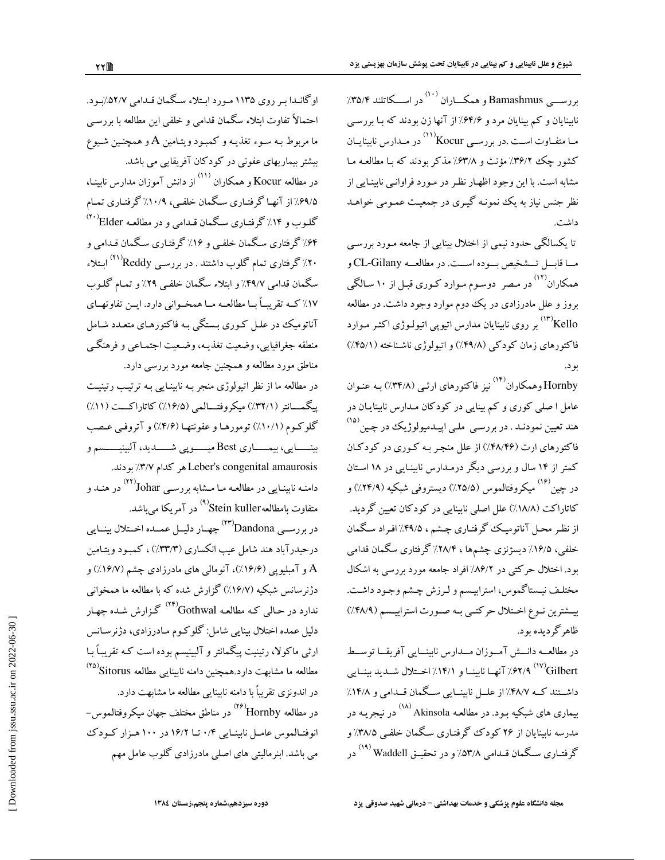نابینایان و کم بینایان مرد و ۶۴/۶٪ از آنها زن بودند که بـا بررسـی مـا متفـاوت اسـت .در بررسـي Kocur'' در مـدارس نابينايــان کشور چک ۳۶/۲٪ مؤنث و ۶۳/۸٪ مذکر بودند که بـا مطالعـه مـا .<br>مشابه است. با این وجود اظهـار نظـر در مـورد فراوانـی نابینـایی از .<br>نظر جنس نیاز به یک نمونـه گیـري در جمعیـت عمـومي خواهـد داشت.

شیوع و علل نابینایی و کم بینایی در نابینایان تحت پوشش سازمان بهزیستی یزد

بررســـی Bamashmus و همکـــاران <sup>(۱۰)</sup> در اســـکاتلند ۳۵/۴٪

۔<br>تا یکسالگے<sub>،</sub> حدود نیمی از اختلال بینایی از جامعه مـورد بررسـی مـا قابــل تــشخيص بــوده اســت. در مطالعــه CL-Gilany و همکاران<sup>۱۲)</sup> در مصر دوسوم موارد کـوري قبـل از ۱۰ سـالگـي بروز و علل مادرزادی در یک دوم موارد وجود داشت. در مطالعه ...<br>Kello بر روی نابینایان مدارس اتیویی اتیولـوژی اکثـر مـوارد فاکتورهای زمان کودکی (۴۹/۸٪) و اتیولوژی ناشـناخته (۴۵/۱٪) ىو د.

Hornby وهمکاران<sup>(۱۴)</sup> نیز فاکتورهای ارثـی (۳۴/۸٪) بـه عنـوان .<br>عامل ا صلی کوری و کم بینایی در کودکان مـدارس نابینایـان در هند تعیین نمودنـد . در بررسـی ملـی اپیــدمیولوژیکـُ در چـین <sup>(۱۵)</sup> فاکتورهای ارث (۴۸/۴۶٪) از علل منجر بـه کـوری در کودکـان کمتر از ۱۴ سال و بررسی دیگر درمـدارس نابینـایی در ۱۸ اسـتان در چین <sup>(۱۶)</sup> میکروفتالموس (۲۵/۵٪) دیستروفی شبکیه (۲۴/۹٪) و کاتاراکت (۱۸/۸٪) علل اصلی نابینایی در کودکان تعیین گردید. از نظـر محـل آناتومیـک گرفتـاری چـشم ، ۴۹/۵٪ افـراد سـگمان .<br>خلفی، ۱۶/۵٪ دیسژنزی چشمها ، ۲۸/۴٪ گرفتاری سگمان قدامی بود. اختلال حرکتبی در ۸۶/۲٪ افراد جامعه مورد بررسی به اشکال مختلف نيستاگموس، استرابيسم و لـرزش چـشم وجـود داشـت. بیسشترین نسوع اخستلال حرکتبی بسه صبورت استراییستم (۴۸/۹٪) ظاهر گر دىده ىود.

در مطالعــه دانــش آمــوزان مــدارس نابينــايي آفريقــا توســط ...<br>Gilbert/ ۲/۶۲/۹٪ آنهــا نابينــا و ۱۴/۱٪ اخــتلال شـــديد بينــايي داشــتند کــه ۴۸/۷٪ از علــل نابینــایی ســگمان قــدامی و ۱۴/۸٪ بیماری های شبکیه بـود. در مطالعـه Akinsola <sup>(۱۸)</sup> در نیجریـه در مدرسه نابینایان از ۲۶ کودک گرفتـاری سـگمان خلفـی ۳۸/۵٪ و گرفتــاری سـگمان قــدامی ۵۳/۸٪ و در تحقبــق Waddell <sup>(۱۹)</sup> در

اوگانـدا بـر روی ۱۱۳۵ مـورد ابـتلاء سـگمان قـدامی ۵۲/۷٪بـود. احتمالاً تفاوت ابتلاء سگمان قدامی و خلفی این مطالعه با بررسـی ما مربوط بـه سـوء تغذيـه و كمبـود ويتـامين A و همچنـين شـيوع بیشتر بیماریهای عفونی در کودکان آفریقایی می باشد. در مطالعه Kocur و همکاران <sup>(۱۱)</sup> از دانش آموزان مدارس نابینـا، .<br>۶۹/۵٪ از آنهـا گرفتـاري سـگمان خلفـي، ۱۰/۹٪ گرفتـاري تمـام گلـوب و ۱۴٪ گرفتـاري سـگمان قـدامي و در مطالعـه Elder`' .<br>۶۴٪ گرفتاری سگمان خلفی و ۱۶٪ گرفتـاری سـگمان قـدامی و ۲۰٪ گرفتاری تمام گلوب داشتند . در بررسبی Reddy'<sup>(۲۱)</sup> ابـتلاء سگمان قدامی ۴۹/۷٪ و ابتلاء سگمان خلفی ۲۹٪ و تمـام گلـوب ۱۷٪ کــه تقریبــاً بــا مطالعــه مــا همخــوانی دارد. ایــن تفاوتهــای .<br>آناتومیک در علـل کـوری بـستگی بـه فاکتورهـای متعـدد شـامل منطقه جغرافيايي، وضعيت تغذيـه، وضـعيت اجتمـاعي و فرهنگـي .<br>مناطق مورد مطالعه و همچنین جامعه مورد بررسی دارد. در مطالعه ما از نظر اتیولوژی منجر بـه نابینـایی بـه ترتیـب رتینیـت

پیگمسانتر (٣٢/١٪) میکروفتسالمی (١۶/۵٪) کاتاراکست (١١٪) گلوکوم (۱۰/۱٪) تومورهـا و عفونتهـا (۴/۶٪) و آتروفـي عـصب بينــــايى، بيمــــارى Best ميــــوپى شـــــديد، آلبينيــــسم و Leber's congenital amaurosis هر كدام ٣/٧٪ بودند. دامنـه نابينـايي در مطالعـه مـا مــشابه بررسـي Johar''' در هنــد و متفاوت بامطالعهStein kuller <sup>(۹)</sup> در آمریکا می باشد.

در بررسـي Dandona'<sup>۳۳)</sup> چهــار دليــل عمــده اخــتلال بينــايي درحیدرآباد هند شامل عیب انکساری (۳۳/۳٪) ، کمبود ویتـامین و آمبلیوپی (۱۶/۶٪)، آنومالی های مادرزادی چشم (۱۶/۷٪) و دژنرسانس شبکیه (۱۶/۷٪) گزارش شده که با مطالعه ما همخوانی ندارد در حـالي کـه مطالعـه Gothwal<sup>(۲۴)</sup> گـزارش شـده چهـار دلیل عمده اختلال بینایی شامل: گلوکوم مـادرزادی، دژنرسـانس ارثی ماکولا، رتینیت پیگمانتر و آلبینیسم بوده است کـه تقریبـاً بـا مطالعه ما مشابهت دارد.همچنین دامنه نابینایی مطالعه Sitorus در اندونزی تقریباً با دامنه نابینایی مطالعه ما مشابهت دارد. در مطالعه Hornby'<sup>۲۶)</sup> در مناطق مختلف جهان میکروفتالموس– انوفتـالموس عامـل نابينـايي ۰/۴ تــا ۱۶/۲ در ۱۰۰ هـزار كــودك می باشد. ابنرمالیتی های اصلی مادرزادی گلوب عامل مهم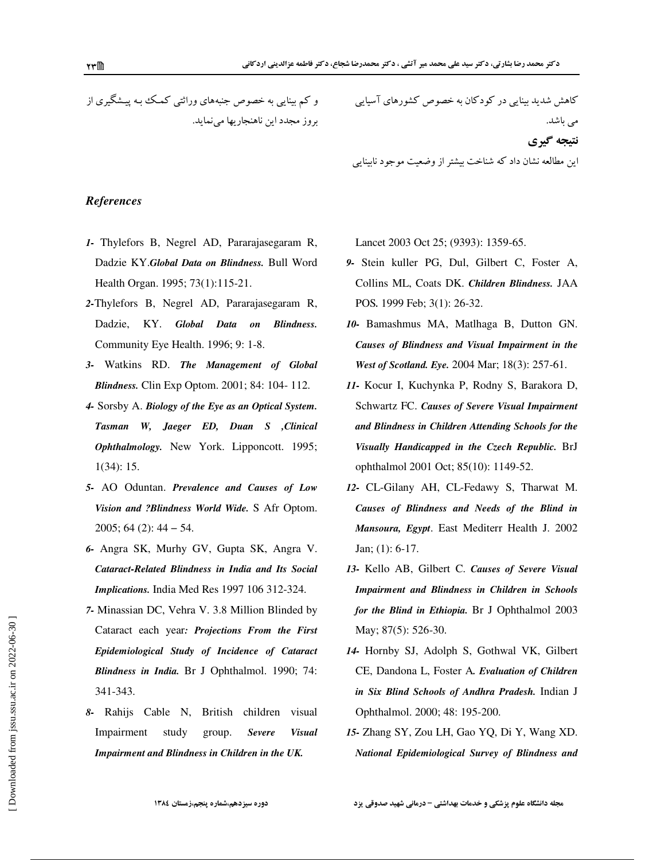و کم بینایی به خصوص جنبههای وراثتی کمک ببه پیشگیری از بروز مجدد این ناهنجاریها می نماید.

کاهش شدید بینایی در کودکان به خصوص کشورهای آسیایی می باشد. نتيجه گيري

این مطالعه نشان داد که شناخت بیشتر از وضعیت موجود نابینایی

### **References**

- 1- Thylefors B, Negrel AD, Pararajasegaram R, Dadzie KY.Global Data on Blindness. Bull Word Health Organ. 1995; 73(1):115-21.
- 2-Thylefors B, Negrel AD, Pararajasegaram R, Dadzie, KY. Global Data on **Blindness.** Community Eye Health. 1996; 9: 1-8.
- 3- Watkins RD. The Management of Global **Blindness.** Clin Exp Optom. 2001; 84: 104-112.
- 4- Sorsby A. Biology of the Eye as an Optical System. Tasman W, Jaeger ED, Duan S ,Clinical Ophthalmology. New York. Lipponcott. 1995;  $1(34): 15.$
- 5- AO Oduntan. Prevalence and Causes of Low Vision and ?Blindness World Wide. S Afr Optom.  $2005$ ; 64 (2): 44 – 54.
- 6- Angra SK, Murhy GV, Gupta SK, Angra V. **Cataract-Related Blindness in India and Its Social** Implications. India Med Res 1997 106 312-324.
- 7- Minassian DC, Vehra V. 3.8 Million Blinded by Cataract each year: Projections From the First Epidemiological Study of Incidence of Cataract Blindness in India. Br J Ophthalmol. 1990; 74: 341-343.
- 8- Rahijs Cable N, British children visual Impairment study group. **Severe Visual** Impairment and Blindness in Children in the UK.

Lancet 2003 Oct 25; (9393): 1359-65.

- 9- Stein kuller PG, Dul, Gilbert C, Foster A, Collins ML, Coats DK. Children Blindness. JAA POS. 1999 Feb; 3(1): 26-32.
- 10- Bamashmus MA, Matlhaga B, Dutton GN. Causes of Blindness and Visual Impairment in the West of Scotland. Eye. 2004 Mar; 18(3): 257-61.
- 11- Kocur I, Kuchynka P, Rodny S, Barakora D, Schwartz FC. Causes of Severe Visual Impairment and Blindness in Children Attending Schools for the Visually Handicapped in the Czech Republic. BrJ ophthalmol 2001 Oct; 85(10): 1149-52.
- 12- CL-Gilany AH, CL-Fedawy S, Tharwat M. Causes of Blindness and Needs of the Blind in Mansoura, Egypt. East Mediterr Health J. 2002 Jan;  $(1)$ : 6-17.
- 13- Kello AB, Gilbert C. Causes of Severe Visual **Impairment and Blindness in Children in Schools** for the Blind in Ethiopia. Br J Ophthalmol 2003 May; 87(5): 526-30.
- 14- Hornby SJ, Adolph S, Gothwal VK, Gilbert CE, Dandona L, Foster A. Evaluation of Children in Six Blind Schools of Andhra Pradesh. Indian J Ophthalmol. 2000; 48: 195-200.
- 15- Zhang SY, Zou LH, Gao YQ, Di Y, Wang XD. National Epidemiological Survey of Blindness and